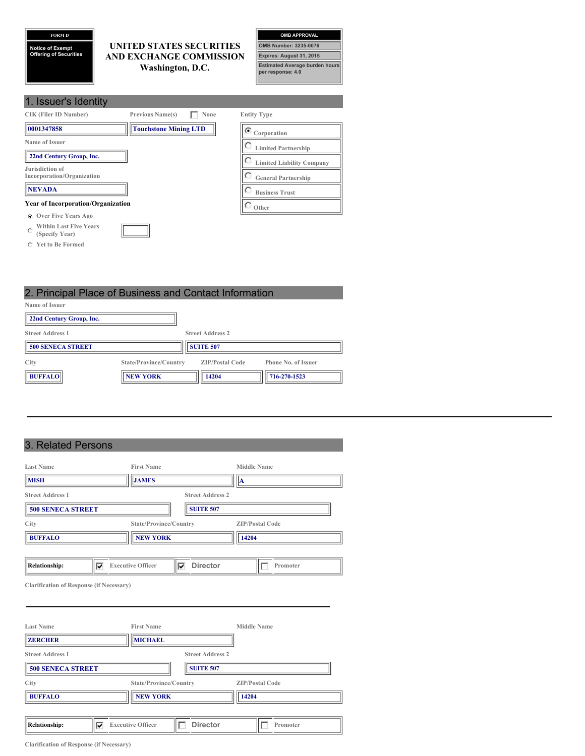# **FORM D**

**Notice of Exempt Offering of Securities**

## **UNITED STATES SECURITIES AND EXCHANGE COMMISSION Washington, D.C.**



| 1. Issuer's Identity                                            |                                  |
|-----------------------------------------------------------------|----------------------------------|
| <b>CIK (Filer ID Number)</b><br><b>Previous Name(s)</b><br>None | <b>Entity Type</b>               |
| 0001347858<br><b>Touchstone Mining LTD</b>                      | $\bullet$ Corporation            |
| Name of Issuer                                                  | <b>Limited Partnership</b>       |
| 22nd Century Group, Inc.                                        | <b>Limited Liability Company</b> |
| Jurisdiction of<br>Incorporation/Organization                   | <b>General Partnership</b>       |
| <b>NEVADA</b>                                                   | <b>Business Trust</b>            |
| <b>Year of Incorporation/Organization</b>                       | Other                            |
| <b>C</b> Over Five Years Ago                                    |                                  |
| <b>Within Last Five Years</b><br>$\Gamma$<br>(Specify Year)     |                                  |

**Yet to Be Formed**

2. Principal Place of Business and Contact Information **Name of Issuer 22nd Century Group, Inc. Street Address 1 Street Address 2**

| <b>500 SENECA STREET</b> |                        | <b>SUITE 507</b>       |                            |  |
|--------------------------|------------------------|------------------------|----------------------------|--|
| City                     | State/Province/Country | <b>ZIP/Postal Code</b> | <b>Phone No. of Issuer</b> |  |
| <b>BUFFALO</b>           | <b>NEW YORK</b>        | 14204                  | 716-270-1523               |  |

# 3. Related Persons

| <b>Last Name</b>                                    | <b>First Name</b>                                | <b>Middle Name</b>              |
|-----------------------------------------------------|--------------------------------------------------|---------------------------------|
| <b>MISH</b>                                         | <b>JAMES</b>                                     | IA                              |
| <b>Street Address 1</b><br><b>500 SENECA STREET</b> | <b>Street Address 2</b><br><b>SUITE 507</b>      |                                 |
| City<br><b>BUFFALO</b>                              | State/Province/Country<br><b>NEW YORK</b>        | <b>ZIP/Postal Code</b><br>14204 |
| <b>Relationship:</b><br>v                           | <b>Director</b><br><b>Executive Officer</b><br>⊽ | Promoter                        |

**Clarification of Response (if Necessary)**

| <b>Last Name</b>         | <b>First Name</b>                           | <b>Middle Name</b>     |
|--------------------------|---------------------------------------------|------------------------|
| <b>ZERCHER</b>           | <b>MICHAEL</b>                              |                        |
| <b>Street Address 1</b>  | <b>Street Address 2</b>                     |                        |
| <b>500 SENECA STREET</b> | <b>SUITE 507</b>                            |                        |
| City                     | State/Province/Country                      | <b>ZIP/Postal Code</b> |
| <b>BUFFALO</b>           | <b>NEW YORK</b>                             | 14204                  |
|                          |                                             |                        |
| Relationship:<br>v       | <b>Director</b><br><b>Executive Officer</b> | Promoter               |

**Clarification of Response (if Necessary)**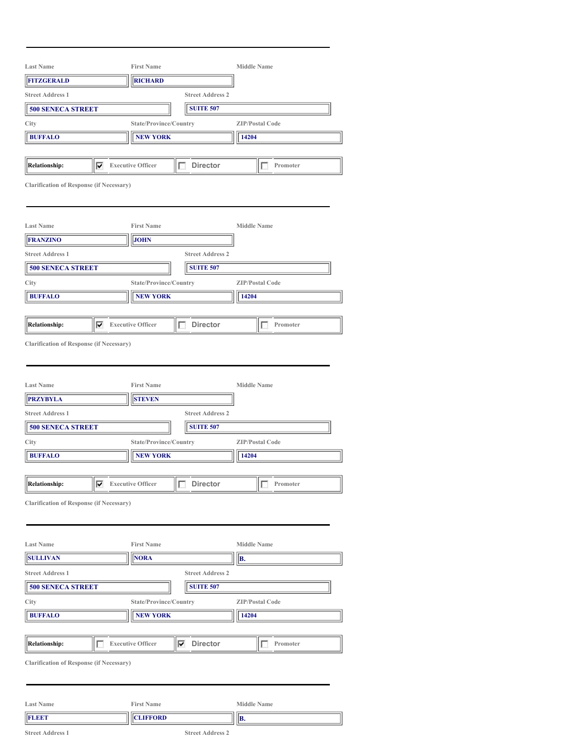|                                                 |                                    | <b>First Name</b>        |                         | <b>Middle Name</b>       |  |
|-------------------------------------------------|------------------------------------|--------------------------|-------------------------|--------------------------|--|
| <b>FITZGERALD</b>                               | <b>Last Name</b><br><b>RICHARD</b> |                          |                         |                          |  |
| <b>Street Address 1</b>                         | <b>Street Address 2</b>            |                          |                         |                          |  |
| <b>500 SENECA STREET</b>                        |                                    |                          | <b>SUITE 507</b>        |                          |  |
| City                                            |                                    | State/Province/Country   |                         | <b>ZIP/Postal Code</b>   |  |
| <b>BUFFALO</b>                                  |                                    | <b>NEW YORK</b>          |                         | 14204                    |  |
|                                                 |                                    |                          |                         |                          |  |
| <b>Relationship:</b>                            | ⊽                                  | <b>Executive Officer</b> | <b>Director</b><br>г    | Promoter<br>г            |  |
| <b>Clarification of Response (if Necessary)</b> |                                    |                          |                         |                          |  |
| <b>Last Name</b>                                |                                    | <b>First Name</b>        |                         | <b>Middle Name</b>       |  |
| FRANZINO                                        |                                    | <b>JOHN</b>              |                         |                          |  |
| <b>Street Address 1</b>                         |                                    |                          | <b>Street Address 2</b> |                          |  |
| <b>500 SENECA STREET</b>                        |                                    |                          | <b>SUITE 507</b>        |                          |  |
| City                                            |                                    | State/Province/Country   |                         | <b>ZIP/Postal Code</b>   |  |
| <b>BUFFALO</b>                                  |                                    | <b>NEW YORK</b>          |                         | 14204                    |  |
|                                                 |                                    |                          |                         |                          |  |
| <b>Relationship:</b>                            | ⊽                                  | <b>Executive Officer</b> | <b>Director</b><br>г    | Promoter<br>$\mathbf{L}$ |  |
|                                                 |                                    |                          |                         |                          |  |
| <b>Last Name</b><br><b>PRZYBYLA</b>             |                                    | <b>First Name</b>        |                         | <b>Middle Name</b>       |  |
|                                                 |                                    | <b>STEVEN</b>            |                         |                          |  |
| <b>Street Address 1</b>                         |                                    |                          | <b>Street Address 2</b> |                          |  |
|                                                 |                                    |                          |                         |                          |  |
| <b>500 SENECA STREET</b>                        |                                    |                          | <b>SUITE 507</b>        |                          |  |
| City                                            |                                    | State/Province/Country   |                         | <b>ZIP/Postal Code</b>   |  |
| <b>BUFFALO</b>                                  |                                    | <b>NEW YORK</b>          |                         | 14204                    |  |
| $\overline{ }$<br><b>Relationship:</b>          | ⊽                                  | <b>Executive Officer</b> | <b>Director</b>         | Promoter<br>Е            |  |
| <b>Clarification of Response (if Necessary)</b> |                                    |                          |                         |                          |  |
| <b>Last Name</b>                                |                                    | <b>First Name</b>        |                         | <b>Middle Name</b>       |  |
| <b>SULLIVAN</b>                                 |                                    | <b>NORA</b>              |                         | B.                       |  |
| <b>Street Address 1</b>                         |                                    |                          | <b>Street Address 2</b> |                          |  |
| <b>500 SENECA STREET</b>                        |                                    |                          | <b>SUITE 507</b>        |                          |  |
| City                                            |                                    | State/Province/Country   |                         | <b>ZIP/Postal Code</b>   |  |
| <b>BUFFALO</b>                                  |                                    | <b>NEW YORK</b>          |                         | 14204                    |  |
|                                                 |                                    |                          |                         |                          |  |
| <b>Relationship:</b>                            | Г                                  | <b>Executive Officer</b> | ⊽<br><b>Director</b>    | г<br>Promoter            |  |
| <b>Clarification of Response (if Necessary)</b> |                                    |                          |                         |                          |  |
| <b>Last Name</b>                                |                                    | <b>First Name</b>        |                         | <b>Middle Name</b>       |  |

**Street Address 1 Street Address 2**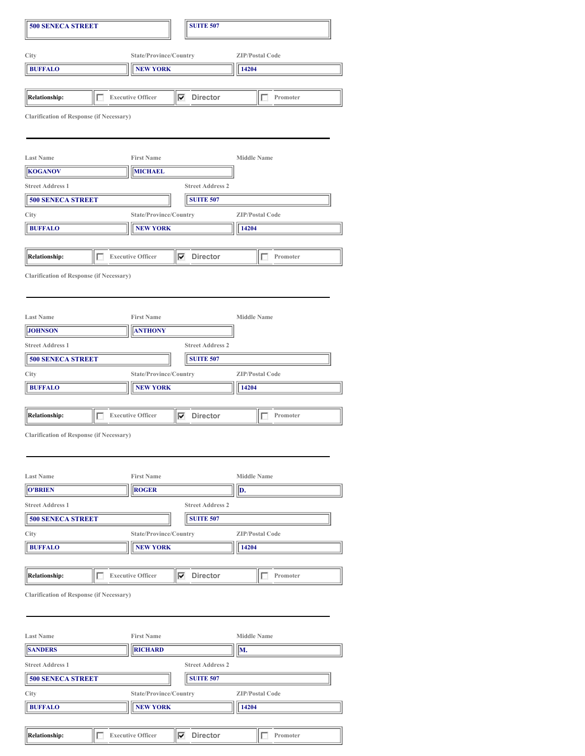| <b>500 SENECA STREET</b>                        |   |                          | <b>SUITE 507</b>        |                        |
|-------------------------------------------------|---|--------------------------|-------------------------|------------------------|
| City                                            |   | State/Province/Country   |                         | <b>ZIP/Postal Code</b> |
| <b>BUFFALO</b>                                  |   | <b>NEW YORK</b>          |                         | 14204                  |
|                                                 |   |                          |                         |                        |
| <b>Relationship:</b>                            | г | <b>Executive Officer</b> | <b>Director</b><br>⊽    | Promoter               |
| <b>Clarification of Response (if Necessary)</b> |   |                          |                         |                        |
| <b>Last Name</b>                                |   | <b>First Name</b>        |                         | <b>Middle Name</b>     |
| <b>KOGANOV</b>                                  |   | <b>MICHAEL</b>           |                         |                        |
| <b>Street Address 1</b>                         |   |                          | <b>Street Address 2</b> |                        |
| <b>500 SENECA STREET</b>                        |   |                          | <b>SUITE 507</b>        |                        |
| City                                            |   | State/Province/Country   |                         | <b>ZIP/Postal Code</b> |
| <b>BUFFALO</b>                                  |   | <b>NEW YORK</b>          |                         | 14204                  |
|                                                 |   |                          |                         |                        |
| <b>Relationship:</b>                            |   | <b>Executive Officer</b> | <b>Director</b><br>⊽    | Promoter               |
|                                                 |   |                          |                         |                        |
| <b>Clarification of Response (if Necessary)</b> |   |                          |                         |                        |
| <b>Last Name</b>                                |   | <b>First Name</b>        |                         | <b>Middle Name</b>     |
| <b>JOHNSON</b>                                  |   | <b>ANTHONY</b>           |                         |                        |
| <b>Street Address 1</b>                         |   |                          | <b>Street Address 2</b> |                        |
| <b>500 SENECA STREET</b>                        |   |                          | <b>SUITE 507</b>        |                        |
| City                                            |   | State/Province/Country   |                         | <b>ZIP/Postal Code</b> |
| <b>BUFFALO</b>                                  |   | <b>NEW YORK</b>          |                         | 14204                  |
| <b>Relationship:</b>                            | п | <b>Executive Officer</b> | ⊽<br><b>Director</b>    | Promoter               |
| <b>Clarification of Response (if Necessary)</b> |   |                          |                         |                        |
| <b>Last Name</b>                                |   | <b>First Name</b>        |                         | <b>Middle Name</b>     |
| <b>O'BRIEN</b>                                  |   | <b>ROGER</b>             |                         | D.                     |
| <b>Street Address 1</b>                         |   |                          | <b>Street Address 2</b> |                        |
| <b>500 SENECA STREET</b>                        |   |                          | <b>SUITE 507</b>        |                        |
| City                                            |   | State/Province/Country   |                         | <b>ZIP/Postal Code</b> |
| <b>BUFFALO</b>                                  |   | <b>NEW YORK</b>          |                         | 14204                  |
| Relationship:                                   | г | <b>Executive Officer</b> | $\nabla$ Director       | Promoter               |
| <b>Clarification of Response (if Necessary)</b> |   |                          |                         |                        |
| <b>Last Name</b>                                |   | <b>First Name</b>        |                         | <b>Middle Name</b>     |
| <b>SANDERS</b>                                  |   | <b>RICHARD</b>           |                         | M.                     |
| <b>Street Address 1</b>                         |   |                          | <b>Street Address 2</b> |                        |
| <b>500 SENECA STREET</b>                        |   |                          | <b>SUITE 507</b>        |                        |
| City                                            |   | State/Province/Country   |                         | <b>ZIP/Postal Code</b> |
| <b>BUFFALO</b>                                  |   | <b>NEW YORK</b>          |                         | 14204                  |
|                                                 |   |                          |                         |                        |
|                                                 |   |                          |                         |                        |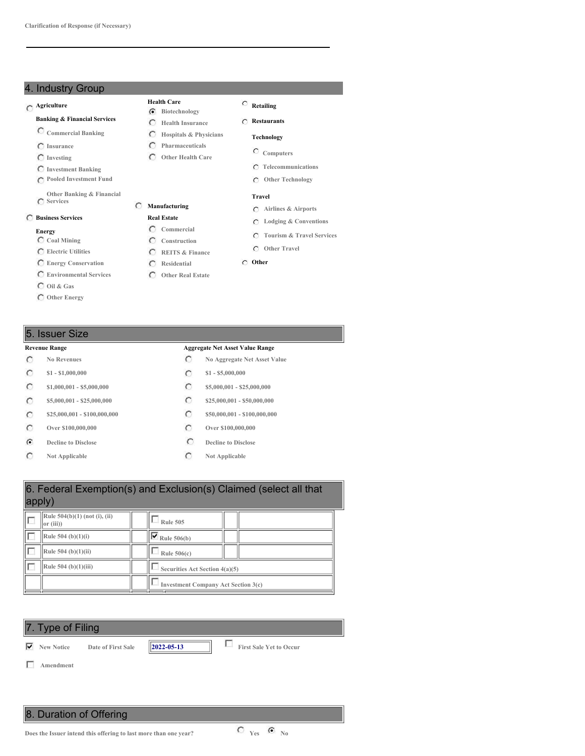### 4. Industry Group

# **Agriculture**

- **Banking & Financial Services**
- **Commercial Banking**
- **Insurance**
- **Investing**
- **Investment Banking**
- **Pooled Investment Fund**
- **Other Banking & Financial Services**

# **Business Services**

### **Energy**

- **Coal Mining**
- **Electric Utilities**
- **Energy Conservation**
- **Environmental Services**
- **Oil & Gas**
- **Other Energy**

### 5. Issuer Size

- $\circ$
- $\circ$
- $\circ$
- $\circ$
- $\circ$
- $\circ$
- $\mathbf G$
- $\circ$

### **Health Care Biotechnology**

**Pharmaceuticals Other Health Care**

**Manufacturing Real Estate Commercial Construction REITS & Finance Residential Other Real Estate**

- **Health Insurance Restaurants**
- **Hospitals & Physicians Technology**
	- **Computers**

**Retailing**

- **Telecommunications**
- **Other Technology**

### **Travel**

- **Airlines & Airports**
- **Lodging & Conventions**
- **Tourism & Travel Services**
- **Other Travel**
- **Other**

### **Revenue Range Aggregate Net Asset Value Range**

- **No Revenues No Aggregate Net Asset Value**
- **\$1 - \$1,000,000 \$1 - \$5,000,000**
- **\$1,000,001 - \$5,000,000 \$5,000,000 \$5,000,001 \$25,000,000**
- **\$5,000,001 - \$25,000,000 \$25,000,001 \$25,000,000 \$25,000,000**
- **\$25,000,001 - \$100,000,000 \$50,000,001 - \$100,000,000**
- **Over \$100,000,000 Over \$100,000,000**
- **Decline to Disclose Decline to Disclose**
- **Not Applicable C Not Applicable**

| 6. Federal Exemption(s) and Exclusion(s) Claimed (select all that<br>apply) |                                |  |  |  |  |  |
|-----------------------------------------------------------------------------|--------------------------------|--|--|--|--|--|
| Rule 504(b)(1) (not (i), (ii)<br> or (iii)                                  | <b>Rule 505</b>                |  |  |  |  |  |
| Rule 504 (b) $(1)(i)$                                                       | $\nabla$ Rule 506(b)           |  |  |  |  |  |
| Rule $504$ (b)(1)(ii)                                                       | Rule $506(c)$                  |  |  |  |  |  |
| Rule 504 (b)(1)(iii)                                                        | Securities Act Section 4(a)(5) |  |  |  |  |  |
| <b>Investment Company Act Section 3(c)</b>                                  |                                |  |  |  |  |  |



8. Duration of Offering

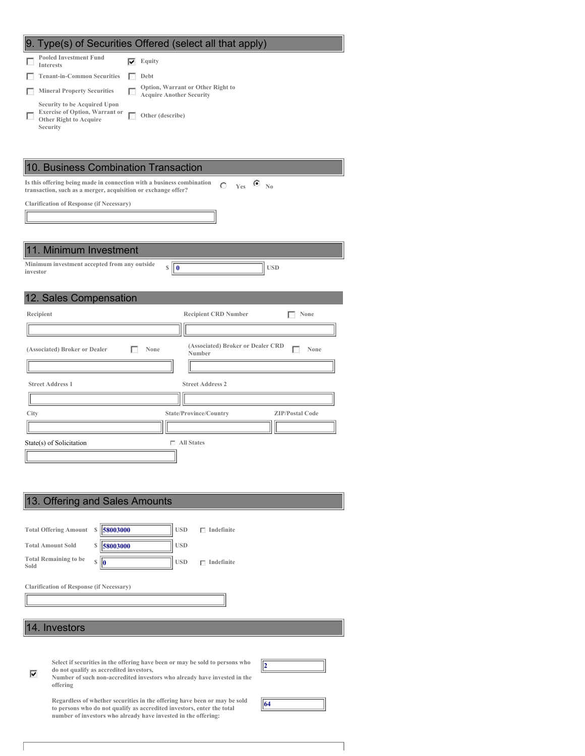|                                                                                                                    | 9. Type(s) of Securities Offered (select all that apply)                  |
|--------------------------------------------------------------------------------------------------------------------|---------------------------------------------------------------------------|
| <b>Pooled Investment Fund</b><br><b>Interests</b>                                                                  | $\overline{\blacktriangledown}$ Equity                                    |
| <b>Tenant-in-Common Securities</b>                                                                                 | Debt<br>г                                                                 |
| <b>Mineral Property Securities</b>                                                                                 | Option, Warrant or Other Right to<br>г<br><b>Acquire Another Security</b> |
| Security to be Acquired Upon<br><b>Exercise of Option, Warrant or</b><br><b>Other Right to Acquire</b><br>Security | г<br>Other (describe)                                                     |
| 10. Business Combination Transaction<br>Is this offering being made in connection with a business combination      | $C$ Yes $C$ No                                                            |
| transaction, such as a merger, acquisition or exchange offer?                                                      |                                                                           |
| <b>Clarification of Response (if Necessary)</b>                                                                    |                                                                           |
|                                                                                                                    |                                                                           |
|                                                                                                                    |                                                                           |
| 11. Minimum Investment                                                                                             |                                                                           |
| Minimum investment accepted from any outside                                                                       | <b>USD</b><br>$\mathbb{S}$<br>   O                                        |
| investor                                                                                                           |                                                                           |
|                                                                                                                    |                                                                           |
| 12. Sales Compensation                                                                                             |                                                                           |
| Recipient                                                                                                          | <b>Recipient CRD Number</b><br>None                                       |
|                                                                                                                    |                                                                           |
| (Associated) Broker or Dealer                                                                                      | (Associated) Broker or Dealer CRD<br>п<br>None<br>г<br>None<br>Number     |
|                                                                                                                    |                                                                           |
| <b>Street Address 1</b>                                                                                            | <b>Street Address 2</b>                                                   |
|                                                                                                                    |                                                                           |
| City                                                                                                               | State/Province/Country<br><b>ZIP/Postal Code</b>                          |
|                                                                                                                    |                                                                           |
| State(s) of Solicitation                                                                                           | $\Box$ All States                                                         |
|                                                                                                                    |                                                                           |
|                                                                                                                    |                                                                           |
|                                                                                                                    |                                                                           |
|                                                                                                                    |                                                                           |

|      | 13. Offering and Sales Amounts                                                                                                                            |  |  |  |  |
|------|-----------------------------------------------------------------------------------------------------------------------------------------------------------|--|--|--|--|
|      | <b>USD</b><br>Indefinite<br>┍                                                                                                                             |  |  |  |  |
|      | 58003000<br><b>Total Offering Amount</b><br>S                                                                                                             |  |  |  |  |
|      | <b>USD</b><br><b>Total Amount Sold</b><br>58003000<br>\$<br><b>Total Remaining to be</b>                                                                  |  |  |  |  |
| Sold | <b>USD</b><br>$\mathbb{S}$<br>$\Gamma$ Indefinite<br>10                                                                                                   |  |  |  |  |
|      | <b>Clarification of Response (if Necessary)</b>                                                                                                           |  |  |  |  |
|      |                                                                                                                                                           |  |  |  |  |
|      |                                                                                                                                                           |  |  |  |  |
|      | 14. Investors                                                                                                                                             |  |  |  |  |
|      |                                                                                                                                                           |  |  |  |  |
|      | Select if securities in the offering have been or may be sold to persons who<br>12                                                                        |  |  |  |  |
| ⊽    | do not qualify as accredited investors,<br>Number of such non-accredited investors who already have invested in the<br>offering                           |  |  |  |  |
|      | Regardless of whether securities in the offering have been or may be sold<br>64<br>to persons who do not qualify as accredited investors, enter the total |  |  |  |  |
|      | number of investors who already have invested in the offering:                                                                                            |  |  |  |  |